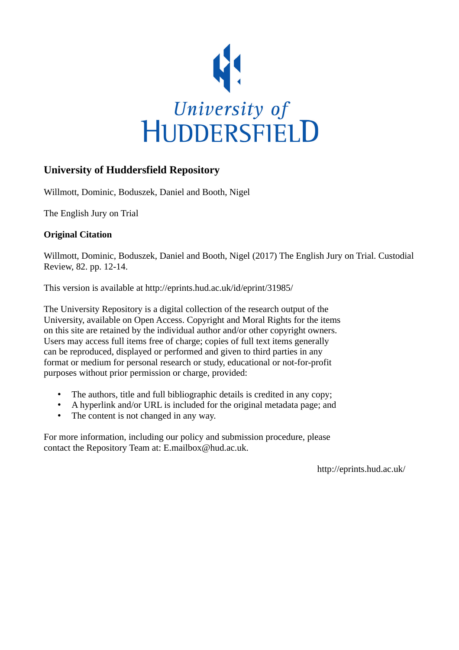

## **University of Huddersfield Repository**

Willmott, Dominic, Boduszek, Daniel and Booth, Nigel

The English Jury on Trial

### **Original Citation**

Willmott, Dominic, Boduszek, Daniel and Booth, Nigel (2017) The English Jury on Trial. Custodial Review, 82. pp. 12-14.

This version is available at http://eprints.hud.ac.uk/id/eprint/31985/

The University Repository is a digital collection of the research output of the University, available on Open Access. Copyright and Moral Rights for the items on this site are retained by the individual author and/or other copyright owners. Users may access full items free of charge; copies of full text items generally can be reproduced, displayed or performed and given to third parties in any format or medium for personal research or study, educational or not-for-profit purposes without prior permission or charge, provided:

- The authors, title and full bibliographic details is credited in any copy;
- A hyperlink and/or URL is included for the original metadata page; and
- The content is not changed in any way.

For more information, including our policy and submission procedure, please contact the Repository Team at: E.mailbox@hud.ac.uk.

http://eprints.hud.ac.uk/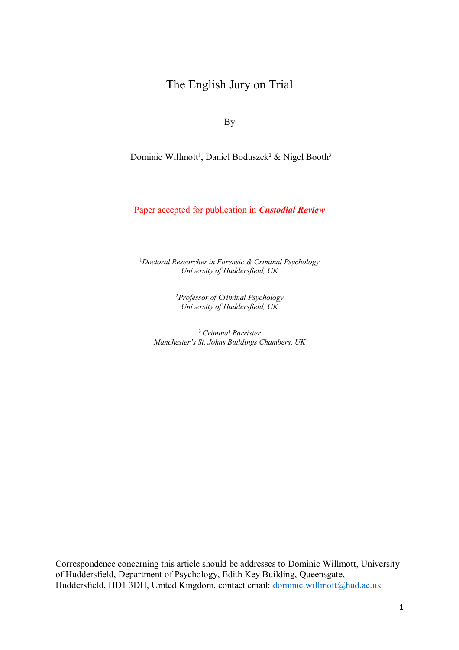# The English Jury on Trial

By

Dominic Willmott<sup>1</sup>, Daniel Boduszek<sup>2</sup> & Nigel Booth<sup>3</sup>

Paper accepted for publication in *Custodial Review*

1 *Doctoral Researcher in Forensic & Criminal Psychology University of Huddersfield, UK*

> 2 *Professor of Criminal Psychology University of Huddersfield, UK*

<sup>3</sup>*Criminal Barrister Manchester's St. Johns Buildings Chambers, UK*

Correspondence concerning this article should be addresses to Dominic Willmott, University of Huddersfield, Department of Psychology, Edith Key Building, Queensgate, Huddersfield, HD1 3DH, United Kingdom, contact email: dominic.willmott@hud.ac.uk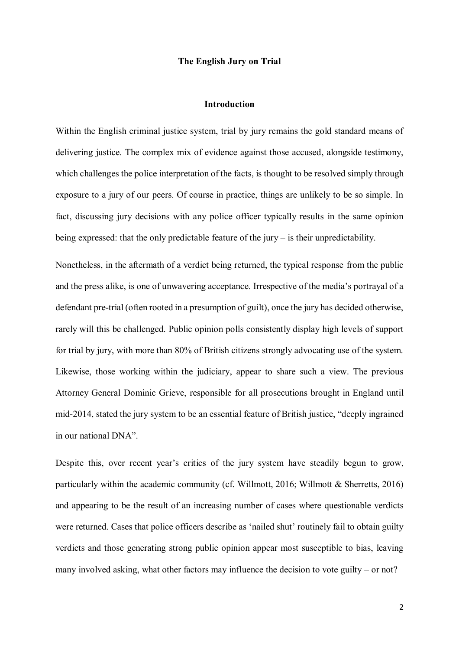#### **The English Jury on Trial**

#### **Introduction**

Within the English criminal justice system, trial by jury remains the gold standard means of delivering justice. The complex mix of evidence against those accused, alongside testimony, which challenges the police interpretation of the facts, is thought to be resolved simply through exposure to a jury of our peers. Of course in practice, things are unlikely to be so simple. In fact, discussing jury decisions with any police officer typically results in the same opinion being expressed: that the only predictable feature of the jury – is their unpredictability.

Nonetheless, in the aftermath of a verdict being returned, the typical response from the public and the press alike, is one of unwavering acceptance. Irrespective of the media's portrayal of a defendant pre-trial (often rooted in a presumption of guilt), once the jury has decided otherwise, rarely will this be challenged. Public opinion polls consistently display high levels of support for trial by jury, with more than 80% of British citizens strongly advocating use of the system. Likewise, those working within the judiciary, appear to share such a view. The previous Attorney General Dominic Grieve, responsible for all prosecutions brought in England until mid-2014, stated the jury system to be an essential feature of British justice, "deeply ingrained in our national DNA".

Despite this, over recent year's critics of the jury system have steadily begun to grow, particularly within the academic community (cf. Willmott, 2016; Willmott & Sherretts, 2016) and appearing to be the result of an increasing number of cases where questionable verdicts were returned. Cases that police officers describe as 'nailed shut' routinely fail to obtain guilty verdicts and those generating strong public opinion appear most susceptible to bias, leaving many involved asking, what other factors may influence the decision to vote guilty – or not?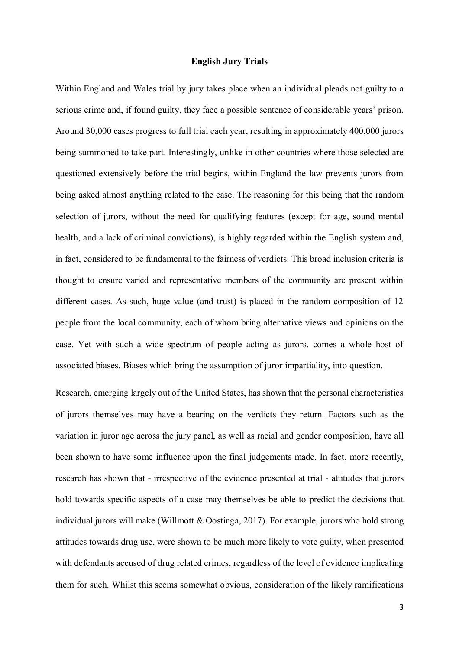#### **English Jury Trials**

Within England and Wales trial by jury takes place when an individual pleads not guilty to a serious crime and, if found guilty, they face a possible sentence of considerable years' prison. Around 30,000 cases progress to full trial each year, resulting in approximately 400,000 jurors being summoned to take part. Interestingly, unlike in other countries where those selected are questioned extensively before the trial begins, within England the law prevents jurors from being asked almost anything related to the case. The reasoning for this being that the random selection of jurors, without the need for qualifying features (except for age, sound mental health, and a lack of criminal convictions), is highly regarded within the English system and, in fact, considered to be fundamental to the fairness of verdicts. This broad inclusion criteria is thought to ensure varied and representative members of the community are present within different cases. As such, huge value (and trust) is placed in the random composition of 12 people from the local community, each of whom bring alternative views and opinions on the case. Yet with such a wide spectrum of people acting as jurors, comes a whole host of associated biases. Biases which bring the assumption of juror impartiality, into question.

Research, emerging largely out of the United States, has shown that the personal characteristics of jurors themselves may have a bearing on the verdicts they return. Factors such as the variation in juror age across the jury panel, as well as racial and gender composition, have all been shown to have some influence upon the final judgements made. In fact, more recently, research has shown that - irrespective of the evidence presented at trial - attitudes that jurors hold towards specific aspects of a case may themselves be able to predict the decisions that individual jurors will make (Willmott & Oostinga, 2017). For example, jurors who hold strong attitudes towards drug use, were shown to be much more likely to vote guilty, when presented with defendants accused of drug related crimes, regardless of the level of evidence implicating them for such. Whilst this seems somewhat obvious, consideration of the likely ramifications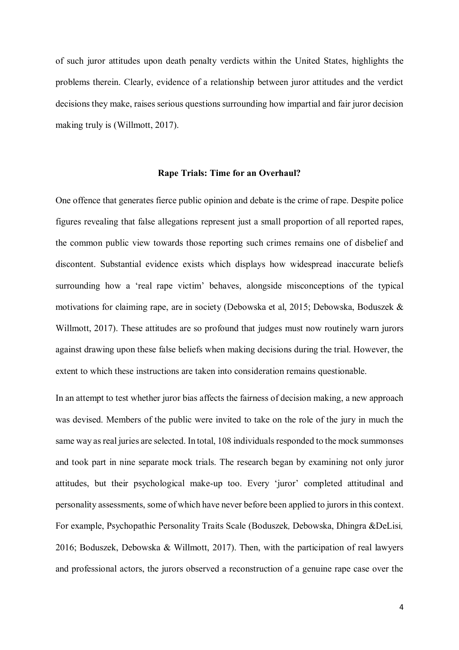of such juror attitudes upon death penalty verdicts within the United States, highlights the problems therein. Clearly, evidence of a relationship between juror attitudes and the verdict decisions they make, raises serious questions surrounding how impartial and fair juror decision making truly is (Willmott, 2017).

#### **Rape Trials: Time for an Overhaul?**

One offence that generates fierce public opinion and debate is the crime of rape. Despite police figures revealing that false allegations represent just a small proportion of all reported rapes, the common public view towards those reporting such crimes remains one of disbelief and discontent. Substantial evidence exists which displays how widespread inaccurate beliefs surrounding how a 'real rape victim' behaves, alongside misconceptions of the typical motivations for claiming rape, are in society (Debowska et al, 2015; Debowska, Boduszek & Willmott, 2017). These attitudes are so profound that judges must now routinely warn jurors against drawing upon these false beliefs when making decisions during the trial. However, the extent to which these instructions are taken into consideration remains questionable.

In an attempt to test whether juror bias affects the fairness of decision making, a new approach was devised. Members of the public were invited to take on the role of the jury in much the same way as real juries are selected. In total, 108 individuals responded to the mock summonses and took part in nine separate mock trials. The research began by examining not only juror attitudes, but their psychological make-up too. Every 'juror' completed attitudinal and personality assessments, some of which have never before been applied to jurors in this context. For example, Psychopathic Personality Traits Scale (Boduszek*,* Debowska, Dhingra &DeLisi*,* 2016; Boduszek, Debowska & Willmott, 2017). Then, with the participation of real lawyers and professional actors, the jurors observed a reconstruction of a genuine rape case over the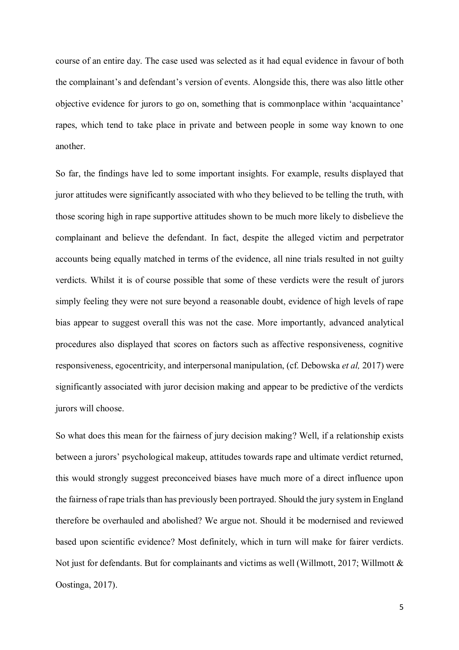course of an entire day. The case used was selected as it had equal evidence in favour of both the complainant's and defendant's version of events. Alongside this, there was also little other objective evidence for jurors to go on, something that is commonplace within 'acquaintance' rapes, which tend to take place in private and between people in some way known to one another.

So far, the findings have led to some important insights. For example, results displayed that juror attitudes were significantly associated with who they believed to be telling the truth, with those scoring high in rape supportive attitudes shown to be much more likely to disbelieve the complainant and believe the defendant. In fact, despite the alleged victim and perpetrator accounts being equally matched in terms of the evidence, all nine trials resulted in not guilty verdicts. Whilst it is of course possible that some of these verdicts were the result of jurors simply feeling they were not sure beyond a reasonable doubt, evidence of high levels of rape bias appear to suggest overall this was not the case. More importantly, advanced analytical procedures also displayed that scores on factors such as affective responsiveness, cognitive responsiveness, egocentricity, and interpersonal manipulation, (cf. Debowska *et al,* 2017) were significantly associated with juror decision making and appear to be predictive of the verdicts jurors will choose.

So what does this mean for the fairness of jury decision making? Well, if a relationship exists between a jurors' psychological makeup, attitudes towards rape and ultimate verdict returned, this would strongly suggest preconceived biases have much more of a direct influence upon the fairness of rape trials than has previously been portrayed. Should the jury system in England therefore be overhauled and abolished? We argue not. Should it be modernised and reviewed based upon scientific evidence? Most definitely, which in turn will make for fairer verdicts. Not just for defendants. But for complainants and victims as well (Willmott, 2017; Willmott & Oostinga, 2017).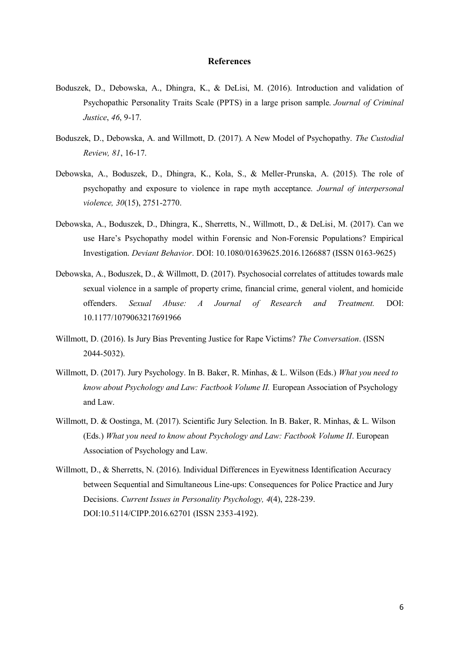#### **References**

- Boduszek, D., Debowska, A., Dhingra, K., & DeLisi, M. (2016). Introduction and validation of Psychopathic Personality Traits Scale (PPTS) in a large prison sample. *Journal of Criminal Justice*, *46*, 9-17.
- Boduszek, D., Debowska, A. and Willmott, D. (2017). A New Model of Psychopathy. *The Custodial Review, 81*, 16-17.
- Debowska, A., Boduszek, D., Dhingra, K., Kola, S., & Meller-Prunska, A. (2015). The role of psychopathy and exposure to violence in rape myth acceptance. *Journal of interpersonal violence, 30*(15), 2751-2770.
- Debowska, A., Boduszek, D., Dhingra, K., Sherretts, N., Willmott, D., & DeLisi, M. (2017). Can we use Hare's Psychopathy model within Forensic and Non-Forensic Populations? Empirical Investigation. *Deviant Behavior*. DOI: 10.1080/01639625.2016.1266887 (ISSN 0163-9625)
- Debowska, A., Boduszek, D., & Willmott, D. (2017). Psychosocial correlates of attitudes towards male sexual violence in a sample of property crime, financial crime, general violent, and homicide offenders. *Sexual Abuse: A Journal of Research and Treatment.* DOI: 10.1177/1079063217691966
- Willmott, D. (2016). Is Jury Bias Preventing Justice for Rape Victims? *The Conversation*. (ISSN 2044-5032).
- Willmott, D. (2017). Jury Psychology. In B. Baker, R. Minhas, & L. Wilson (Eds.) *What you need to know about Psychology and Law: Factbook Volume II.* European Association of Psychology and Law.
- Willmott, D. & Oostinga, M. (2017). Scientific Jury Selection. In B. Baker, R. Minhas, & L. Wilson (Eds.) *What you need to know about Psychology and Law: Factbook Volume II*. European Association of Psychology and Law.
- Willmott, D., & Sherretts, N. (2016). Individual Differences in Eyewitness Identification Accuracy between Sequential and Simultaneous Line-ups: Consequences for Police Practice and Jury Decisions. *Current Issues in Personality Psychology, 4*(4), 228-239. DOI:10.5114/CIPP.2016.62701 (ISSN 2353-4192).